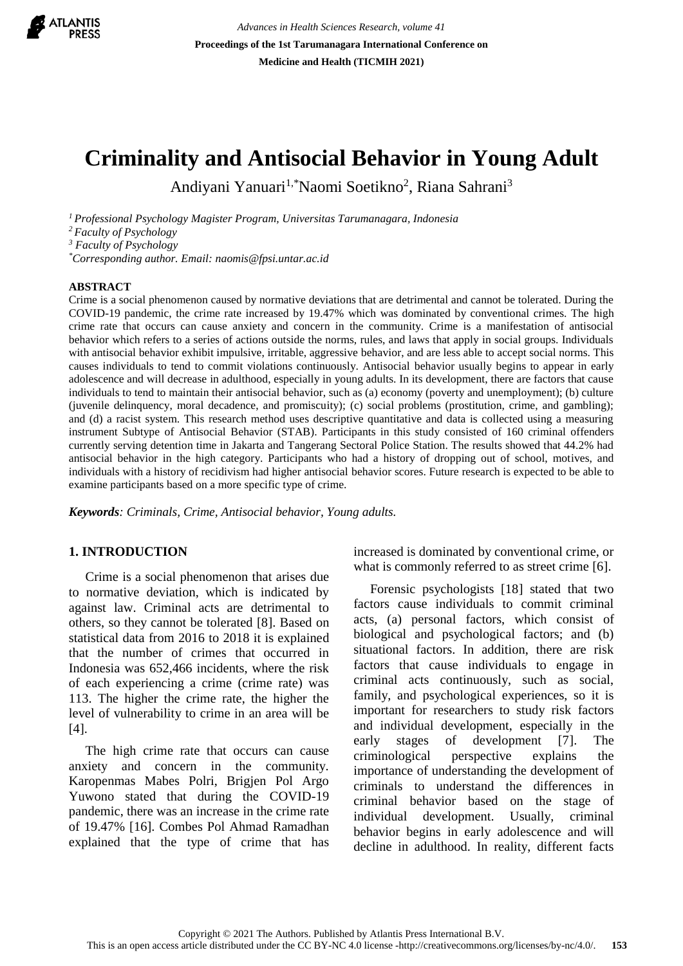

*Advances in Health Sciences Research, volume 41* **Proceedings of the 1st Tarumanagara International Conference on Medicine and Health (TICMIH 2021)**

# **Criminality and Antisocial Behavior in Young Adult**

Andiyani Yanuari<sup>1,\*</sup>Naomi Soetikno<sup>2</sup>, Riana Sahrani<sup>3</sup>

*<sup>1</sup>Professional Psychology Magister Program, Universitas Tarumanagara, Indonesia*

*<sup>2</sup>Faculty of Psychology*

*<sup>3</sup> Faculty of Psychology*

*\*Corresponding author. Email: naomis@fpsi.untar.ac.id*

#### **ABSTRACT**

Crime is a social phenomenon caused by normative deviations that are detrimental and cannot be tolerated. During the COVID-19 pandemic, the crime rate increased by 19.47% which was dominated by conventional crimes. The high crime rate that occurs can cause anxiety and concern in the community. Crime is a manifestation of antisocial behavior which refers to a series of actions outside the norms, rules, and laws that apply in social groups. Individuals with antisocial behavior exhibit impulsive, irritable, aggressive behavior, and are less able to accept social norms. This causes individuals to tend to commit violations continuously. Antisocial behavior usually begins to appear in early adolescence and will decrease in adulthood, especially in young adults. In its development, there are factors that cause individuals to tend to maintain their antisocial behavior, such as (a) economy (poverty and unemployment); (b) culture (juvenile delinquency, moral decadence, and promiscuity); (c) social problems (prostitution, crime, and gambling); and (d) a racist system. This research method uses descriptive quantitative and data is collected using a measuring instrument Subtype of Antisocial Behavior (STAB). Participants in this study consisted of 160 criminal offenders currently serving detention time in Jakarta and Tangerang Sectoral Police Station. The results showed that 44.2% had antisocial behavior in the high category. Participants who had a history of dropping out of school, motives, and individuals with a history of recidivism had higher antisocial behavior scores. Future research is expected to be able to examine participants based on a more specific type of crime.

*Keywords: Criminals, Crime, Antisocial behavior, Young adults.*

### **1. INTRODUCTION**

Crime is a social phenomenon that arises due to normative deviation, which is indicated by against law. Criminal acts are detrimental to others, so they cannot be tolerated [8]. Based on statistical data from 2016 to 2018 it is explained that the number of crimes that occurred in Indonesia was 652,466 incidents, where the risk of each experiencing a crime (crime rate) was 113. The higher the crime rate, the higher the level of vulnerability to crime in an area will be [4].

The high crime rate that occurs can cause anxiety and concern in the community. Karopenmas Mabes Polri, Brigjen Pol Argo Yuwono stated that during the COVID-19 pandemic, there was an increase in the crime rate of 19.47% [16]. Combes Pol Ahmad Ramadhan explained that the type of crime that has increased is dominated by conventional crime, or what is commonly referred to as street crime [6].

Forensic psychologists [18] stated that two factors cause individuals to commit criminal acts, (a) personal factors, which consist of biological and psychological factors; and (b) situational factors. In addition, there are risk factors that cause individuals to engage in criminal acts continuously, such as social, family, and psychological experiences, so it is important for researchers to study risk factors and individual development, especially in the early stages of development [7]. The criminological perspective explains the importance of understanding the development of criminals to understand the differences in criminal behavior based on the stage of individual development. Usually, criminal behavior begins in early adolescence and will decline in adulthood. In reality, different facts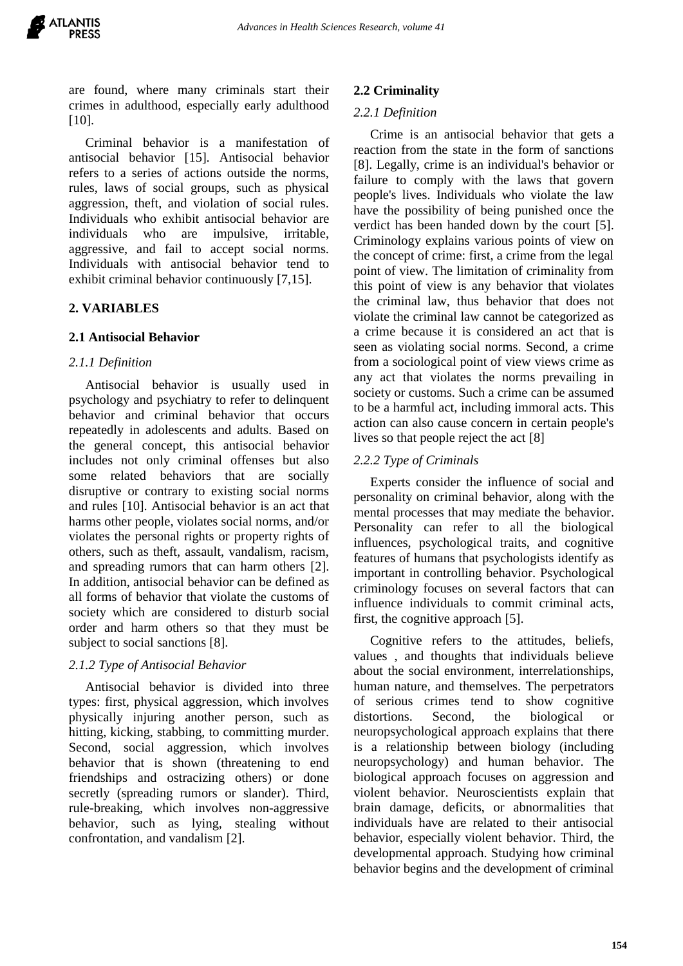are found, where many criminals start their crimes in adulthood, especially early adulthood [10].

Criminal behavior is a manifestation of antisocial behavior [15]. Antisocial behavior refers to a series of actions outside the norms, rules, laws of social groups, such as physical aggression, theft, and violation of social rules. Individuals who exhibit antisocial behavior are individuals who are impulsive, irritable, aggressive, and fail to accept social norms. Individuals with antisocial behavior tend to exhibit criminal behavior continuously [7,15].

# **2. VARIABLES**

## **2.1 Antisocial Behavior**

## *2.1.1 Definition*

Antisocial behavior is usually used in psychology and psychiatry to refer to delinquent behavior and criminal behavior that occurs repeatedly in adolescents and adults. Based on the general concept, this antisocial behavior includes not only criminal offenses but also some related behaviors that are socially disruptive or contrary to existing social norms and rules [10]. Antisocial behavior is an act that harms other people, violates social norms, and/or violates the personal rights or property rights of others, such as theft, assault, vandalism, racism, and spreading rumors that can harm others [2]. In addition, antisocial behavior can be defined as all forms of behavior that violate the customs of society which are considered to disturb social order and harm others so that they must be subject to social sanctions [8].

# *2.1.2 Type of Antisocial Behavior*

Antisocial behavior is divided into three types: first, physical aggression, which involves physically injuring another person, such as hitting, kicking, stabbing, to committing murder. Second, social aggression, which involves behavior that is shown (threatening to end friendships and ostracizing others) or done secretly (spreading rumors or slander). Third, rule-breaking, which involves non-aggressive behavior, such as lying, stealing without confrontation, and vandalism [2].

### **2.2 Criminality**

#### *2.2.1 Definition*

 Crime is an antisocial behavior that gets a reaction from the state in the form of sanctions [8]. Legally, crime is an individual's behavior or failure to comply with the laws that govern people's lives. Individuals who violate the law have the possibility of being punished once the verdict has been handed down by the court [5]. Criminology explains various points of view on the concept of crime: first, a crime from the legal point of view. The limitation of criminality from this point of view is any behavior that violates the criminal law, thus behavior that does not violate the criminal law cannot be categorized as a crime because it is considered an act that is seen as violating social norms. Second, a crime from a sociological point of view views crime as any act that violates the norms prevailing in society or customs. Such a crime can be assumed to be a harmful act, including immoral acts. This action can also cause concern in certain people's lives so that people reject the act [8]

## *2.2.2 Type of Criminals*

Experts consider the influence of social and personality on criminal behavior, along with the mental processes that may mediate the behavior. Personality can refer to all the biological influences, psychological traits, and cognitive features of humans that psychologists identify as important in controlling behavior. Psychological criminology focuses on several factors that can influence individuals to commit criminal acts, first, the cognitive approach [5].

Cognitive refers to the attitudes, beliefs, values , and thoughts that individuals believe about the social environment, interrelationships, human nature, and themselves. The perpetrators of serious crimes tend to show cognitive distortions. Second, the biological or neuropsychological approach explains that there is a relationship between biology (including neuropsychology) and human behavior. The biological approach focuses on aggression and violent behavior. Neuroscientists explain that brain damage, deficits, or abnormalities that individuals have are related to their antisocial behavior, especially violent behavior. Third, the developmental approach. Studying how criminal behavior begins and the development of criminal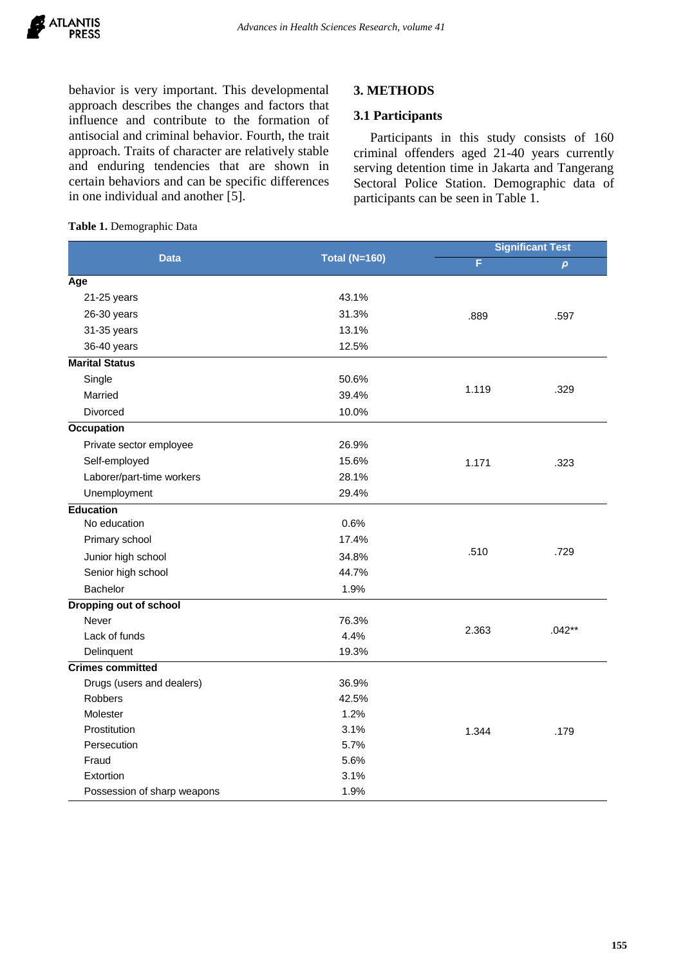behavior is very important. This developmental approach describes the changes and factors that influence and contribute to the formation of antisocial and criminal behavior. Fourth, the trait approach. Traits of character are relatively stable and enduring tendencies that are shown in certain behaviors and can be specific differences in one individual and another [5].

## **3. METHODS**

#### **3.1 Participants**

Participants in this study consists of 160 criminal offenders aged 21-40 years currently serving detention time in Jakarta and Tangerang Sectoral Police Station. Demographic data of participants can be seen in Table 1.

| <b>Data</b>                   | <b>Total (N=160)</b> |       | <b>Significant Test</b> |  |
|-------------------------------|----------------------|-------|-------------------------|--|
|                               |                      | F     | $\pmb{\rho}$            |  |
| Age                           |                      |       |                         |  |
| 21-25 years                   | 43.1%                |       |                         |  |
| 26-30 years                   | 31.3%                | .889  | .597                    |  |
| 31-35 years                   | 13.1%                |       |                         |  |
| 36-40 years                   | 12.5%                |       |                         |  |
| <b>Marital Status</b>         |                      |       |                         |  |
| Single                        | 50.6%                |       |                         |  |
| Married                       | 39.4%                | 1.119 | .329                    |  |
| Divorced                      | 10.0%                |       |                         |  |
| <b>Occupation</b>             |                      |       |                         |  |
| Private sector employee       | 26.9%                |       |                         |  |
| Self-employed                 | 15.6%                | 1.171 | .323                    |  |
| Laborer/part-time workers     | 28.1%                |       |                         |  |
| Unemployment                  | 29.4%                |       |                         |  |
| <b>Education</b>              |                      |       |                         |  |
| No education                  | 0.6%                 |       |                         |  |
| Primary school                | 17.4%                | .510  |                         |  |
| Junior high school            | 34.8%                |       | .729                    |  |
| Senior high school            | 44.7%                |       |                         |  |
| Bachelor                      | 1.9%                 |       |                         |  |
| <b>Dropping out of school</b> |                      |       |                         |  |
| Never                         | 76.3%                |       | $.042**$                |  |
| Lack of funds                 | 4.4%                 | 2.363 |                         |  |
| Delinquent                    | 19.3%                |       |                         |  |
| <b>Crimes committed</b>       |                      |       |                         |  |
| Drugs (users and dealers)     | 36.9%                |       |                         |  |
| <b>Robbers</b>                | 42.5%                |       |                         |  |
| Molester                      | 1.2%                 |       |                         |  |
| Prostitution                  | 3.1%                 | 1.344 | .179                    |  |
| Persecution                   | 5.7%                 |       |                         |  |
| Fraud                         | 5.6%                 |       |                         |  |
| Extortion                     | 3.1%                 |       |                         |  |
| Possession of sharp weapons   | 1.9%                 |       |                         |  |

#### **Table 1.** Demographic Data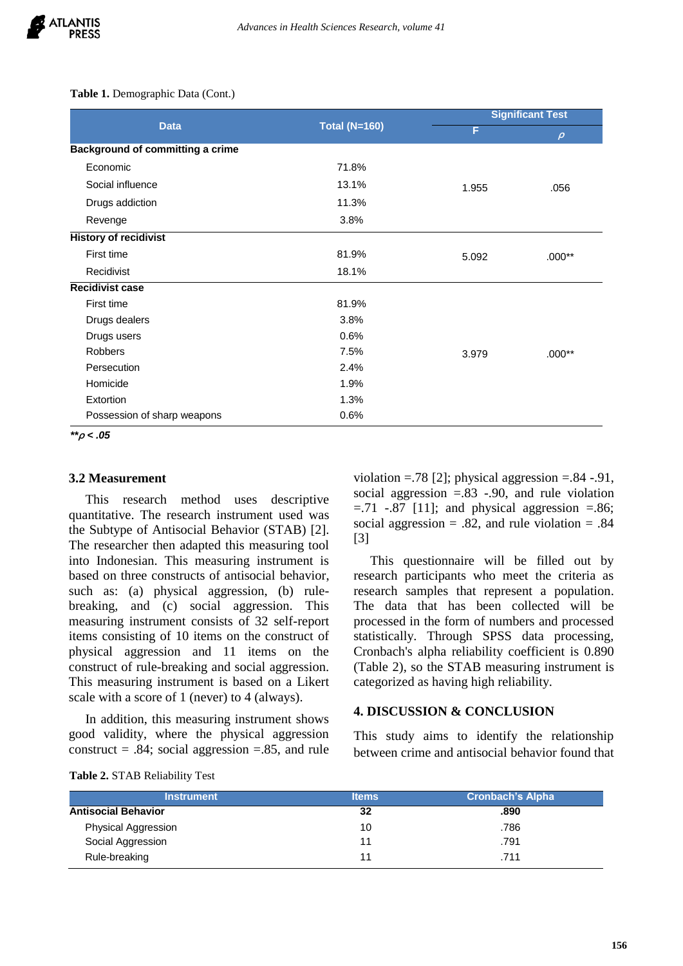**Table 1.** Demographic Data (Cont.)

| <b>Data</b>                             | <b>Total (N=160)</b> | <b>Significant Test</b> |          |
|-----------------------------------------|----------------------|-------------------------|----------|
|                                         |                      | F                       | $\rho$   |
| <b>Background of committing a crime</b> |                      |                         |          |
| Economic                                | 71.8%                |                         |          |
| Social influence                        | 13.1%                | 1.955                   | .056     |
| Drugs addiction                         | 11.3%                |                         |          |
| Revenge                                 | 3.8%                 |                         |          |
| <b>History of recidivist</b>            |                      |                         |          |
| First time                              | 81.9%                | 5.092                   | $.000**$ |
| Recidivist                              | 18.1%                |                         |          |
| <b>Recidivist case</b>                  |                      |                         |          |
| First time                              | 81.9%                |                         |          |
| Drugs dealers                           | 3.8%                 |                         |          |
| Drugs users                             | 0.6%                 |                         |          |
| <b>Robbers</b>                          | 7.5%                 | 3.979                   | $.000**$ |
| Persecution                             | 2.4%                 |                         |          |
| Homicide                                | 1.9%                 |                         |          |
| Extortion                               | 1.3%                 |                         |          |
| Possession of sharp weapons             | 0.6%                 |                         |          |

*\*\****ρ** *< .05*

## **3.2 Measurement**

This research method uses descriptive quantitative. The research instrument used was the Subtype of Antisocial Behavior (STAB) [2]. The researcher then adapted this measuring tool into Indonesian. This measuring instrument is based on three constructs of antisocial behavior, such as: (a) physical aggression, (b) rulebreaking, and (c) social aggression. This measuring instrument consists of 32 self-report items consisting of 10 items on the construct of physical aggression and 11 items on the construct of rule-breaking and social aggression. This measuring instrument is based on a Likert scale with a score of 1 (never) to 4 (always).

In addition, this measuring instrument shows good validity, where the physical aggression construct  $= .84$ ; social aggression  $= .85$ , and rule

**Table 2.** STAB Reliability Test

| violation = $.78$ [2]; physical aggression = $.84$ - $.91$ , |
|--------------------------------------------------------------|
| social aggression $= 83 - 90$ , and rule violation           |
| $= 0.71$ $-0.87$ [11]; and physical aggression $= 0.86$ ;    |
| social aggression = .82, and rule violation = .84            |
| [3]                                                          |

This questionnaire will be filled out by research participants who meet the criteria as research samples that represent a population. The data that has been collected will be processed in the form of numbers and processed statistically. Through SPSS data processing, Cronbach's alpha reliability coefficient is 0.890 (Table 2), so the STAB measuring instrument is categorized as having high reliability.

#### **4. DISCUSSION & CONCLUSION**

This study aims to identify the relationship between crime and antisocial behavior found that

| <b>Instrument</b>          | <b>Items</b> | <b>Cronbach's Alpha</b> |  |
|----------------------------|--------------|-------------------------|--|
| <b>Antisocial Behavior</b> | 32           | .890                    |  |
| Physical Aggression        | 10           | .786                    |  |
| Social Aggression          | 11           | .791                    |  |
| Rule-breaking              | 11           | .711                    |  |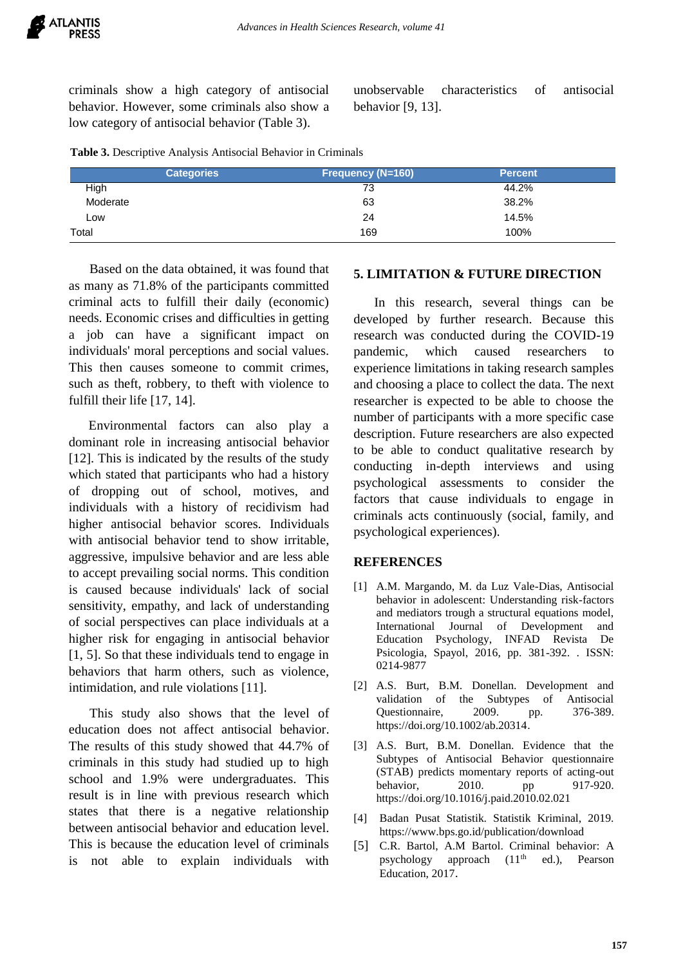criminals show a high category of antisocial behavior. However, some criminals also show a low category of antisocial behavior (Table 3).

unobservable characteristics of antisocial behavior [9, 13].

| <b>Categories</b> |     | <b>Percent</b> |
|-------------------|-----|----------------|
| High              | 73  | 44.2%          |
| Moderate          | 63  | 38.2%          |
| LOW               | 24  | 14.5%          |
| Total             | 169 | 100%           |

Based on the data obtained, it was found that as many as 71.8% of the participants committed criminal acts to fulfill their daily (economic) needs. Economic crises and difficulties in getting a job can have a significant impact on individuals' moral perceptions and social values. This then causes someone to commit crimes, such as theft, robbery, to theft with violence to fulfill their life [17, 14].

 Environmental factors can also play a dominant role in increasing antisocial behavior [12]. This is indicated by the results of the study which stated that participants who had a history of dropping out of school, motives, and individuals with a history of recidivism had higher antisocial behavior scores. Individuals with antisocial behavior tend to show irritable, aggressive, impulsive behavior and are less able to accept prevailing social norms. This condition is caused because individuals' lack of social sensitivity, empathy, and lack of understanding of social perspectives can place individuals at a higher risk for engaging in antisocial behavior [1, 5]. So that these individuals tend to engage in behaviors that harm others, such as violence, intimidation, and rule violations [11].

This study also shows that the level of education does not affect antisocial behavior. The results of this study showed that 44.7% of criminals in this study had studied up to high school and 1.9% were undergraduates. This result is in line with previous research which states that there is a negative relationship between antisocial behavior and education level. This is because the education level of criminals is not able to explain individuals with

#### **5. LIMITATION & FUTURE DIRECTION**

In this research, several things can be developed by further research. Because this research was conducted during the COVID-19 pandemic, which caused researchers to experience limitations in taking research samples and choosing a place to collect the data. The next researcher is expected to be able to choose the number of participants with a more specific case description. Future researchers are also expected to be able to conduct qualitative research by conducting in-depth interviews and using psychological assessments to consider the factors that cause individuals to engage in criminals acts continuously (social, family, and psychological experiences).

#### **REFERENCES**

- [1] A.M. Margando, M. da Luz Vale-Dias, Antisocial behavior in adolescent: Understanding risk-factors and mediators trough a structural equations model, International Journal of Development and Education Psychology, INFAD Revista De Psicologia, Spayol, 2016, pp. 381-392. . ISSN: 0214-9877
- [2] A.S. Burt, B.M. Donellan. Development and validation of the Subtypes of Antisocial Questionnaire, 2009. pp. 376-389. <https://doi.org/10.1002/ab.20314>.
- [3] A.S. Burt, B.M. Donellan. Evidence that the Subtypes of Antisocial Behavior questionnaire (STAB) predicts momentary reports of acting-out behavior, 2010. pp 917-920. <https://doi.org/10.1016/j.paid.2010.02.021>
- [4] Badan Pusat Statistik. Statistik Kriminal, 2019. <https://www.bps.go.id/publication/download>
- [5] C.R. Bartol, A.M Bartol. Criminal behavior: A psychology approach  $(11<sup>th</sup>$  ed.), Pearson Education, 2017.